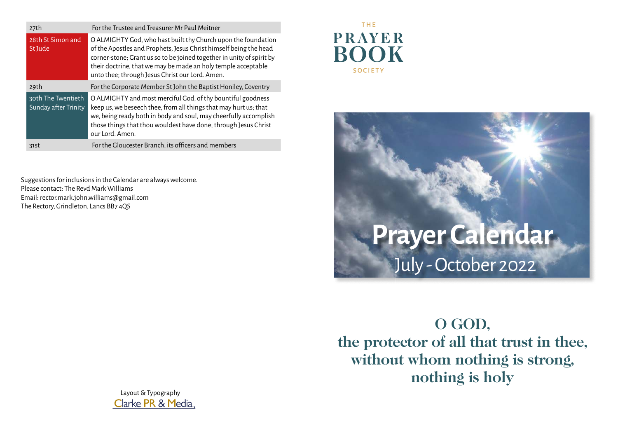| 27th                                       | For the Trustee and Treasurer Mr Paul Meitner                                                                                                                                                                                                                                                                                   |
|--------------------------------------------|---------------------------------------------------------------------------------------------------------------------------------------------------------------------------------------------------------------------------------------------------------------------------------------------------------------------------------|
| 28th St Simon and<br>St Jude               | O ALMIGHTY God, who hast built thy Church upon the foundation<br>of the Apostles and Prophets, Jesus Christ himself being the head<br>corner-stone; Grant us so to be joined together in unity of spirit by<br>their doctrine, that we may be made an holy temple acceptable<br>unto thee; through Jesus Christ our Lord. Amen. |
| 29th                                       | For the Corporate Member St John the Baptist Honiley, Coventry                                                                                                                                                                                                                                                                  |
| 30th The Twentieth<br>Sunday after Trinity | O ALMIGHTY and most merciful God, of thy bountiful goodness<br>keep us, we beseech thee, from all things that may hurt us; that<br>we, being ready both in body and soul, may cheerfully accomplish<br>those things that thou wouldest have done; through Jesus Christ<br>our Lord, Amen.                                       |
| 31st                                       | For the Gloucester Branch, its officers and members                                                                                                                                                                                                                                                                             |

Suggestions for inclusions in the Calendar are always welcome. Please contact: The Revd Mark Williams Email: rector.mark.john.williams@gmail.com The Rectory, Grindleton, Lancs BB7 4QS

## **THE PRAYER ROOK SOCIETY**



**O GOD, the protector of all that trust in thee, without whom nothing is strong, nothing is holy**

Layout & Typography Clarke PR & Media,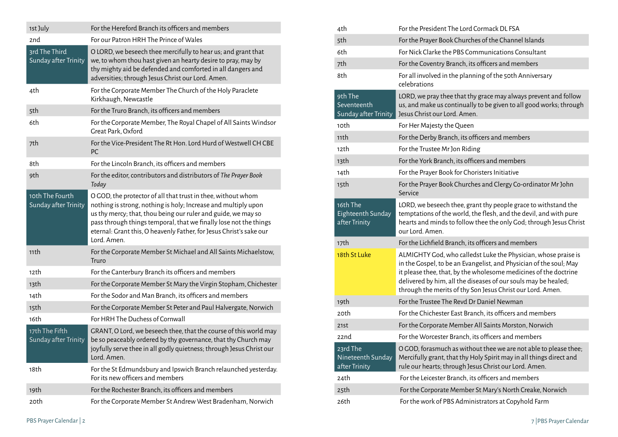| 1st July                                | For the Hereford Branch its officers and members                                                                                                                                                                                                                                                                                                           |
|-----------------------------------------|------------------------------------------------------------------------------------------------------------------------------------------------------------------------------------------------------------------------------------------------------------------------------------------------------------------------------------------------------------|
| 2nd                                     | For our Patron HRH The Prince of Wales                                                                                                                                                                                                                                                                                                                     |
| 3rd The Third<br>Sunday after Trinity   | O LORD, we beseech thee mercifully to hear us; and grant that<br>we, to whom thou hast given an hearty desire to pray, may by<br>thy mighty aid be defended and comforted in all dangers and<br>adversities; through Jesus Christ our Lord. Amen.                                                                                                          |
| 4th                                     | For the Corporate Member The Church of the Holy Paraclete<br>Kirkhaugh, Newcastle                                                                                                                                                                                                                                                                          |
| 5th                                     | For the Truro Branch, its officers and members                                                                                                                                                                                                                                                                                                             |
| 6th                                     | For the Corporate Member, The Royal Chapel of All Saints Windsor<br>Great Park, Oxford                                                                                                                                                                                                                                                                     |
| 7th                                     | For the Vice-President The Rt Hon. Lord Hurd of Westwell CH CBE<br>PC                                                                                                                                                                                                                                                                                      |
| 8th                                     | For the Lincoln Branch, its officers and members                                                                                                                                                                                                                                                                                                           |
| 9th                                     | For the editor, contributors and distributors of The Prayer Book<br>Today                                                                                                                                                                                                                                                                                  |
| 10th The Fourth<br>Sunday after Trinity | O GOD, the protector of all that trust in thee, without whom<br>nothing is strong, nothing is holy; Increase and multiply upon<br>us thy mercy; that, thou being our ruler and guide, we may so<br>pass through things temporal, that we finally lose not the things<br>eternal: Grant this, O heavenly Father, for Jesus Christ's sake our<br>Lord. Amen. |
| 11th                                    | For the Corporate Member St Michael and All Saints Michaelstow,<br>Truro                                                                                                                                                                                                                                                                                   |
| 12th                                    | For the Canterbury Branch its officers and members                                                                                                                                                                                                                                                                                                         |
| 13th                                    | For the Corporate Member St Mary the Virgin Stopham, Chichester                                                                                                                                                                                                                                                                                            |
| 14th                                    | For the Sodor and Man Branch, its officers and members                                                                                                                                                                                                                                                                                                     |
| 15th                                    | For the Corporate Member St Peter and Paul Halvergate, Norwich                                                                                                                                                                                                                                                                                             |
| 16th                                    | For HRH The Duchess of Cornwall                                                                                                                                                                                                                                                                                                                            |
| 17th The Fifth<br>Sunday after Trinity  | GRANT, O Lord, we beseech thee, that the course of this world may<br>be so peaceably ordered by thy governance, that thy Church may<br>joyfully serve thee in all godly quietness; through Jesus Christ our<br>Lord. Amen.                                                                                                                                 |
| 18th                                    | For the St Edmundsbury and Ipswich Branch relaunched yesterday.<br>For its new officers and members                                                                                                                                                                                                                                                        |
| 19th                                    | For the Rochester Branch, its officers and members                                                                                                                                                                                                                                                                                                         |
| 20th                                    | For the Corporate Member St Andrew West Bradenham, Norwich                                                                                                                                                                                                                                                                                                 |

| 4th                                            | For the President The Lord Cormack DL FSA                                                                                                                                                                                                                                                                                                |
|------------------------------------------------|------------------------------------------------------------------------------------------------------------------------------------------------------------------------------------------------------------------------------------------------------------------------------------------------------------------------------------------|
| 5th                                            | For the Prayer Book Churches of the Channel Islands                                                                                                                                                                                                                                                                                      |
| 6th                                            | For Nick Clarke the PBS Communications Consultant                                                                                                                                                                                                                                                                                        |
| 7th                                            | For the Coventry Branch, its officers and members                                                                                                                                                                                                                                                                                        |
| 8th                                            | For all involved in the planning of the 50th Anniversary<br>celebrations                                                                                                                                                                                                                                                                 |
| 9th The<br>Seventeenth<br>Sunday after Trinity | LORD, we pray thee that thy grace may always prevent and follow<br>us, and make us continually to be given to all good works; through<br>Jesus Christ our Lord. Amen.                                                                                                                                                                    |
| 10th                                           | For Her Majesty the Queen                                                                                                                                                                                                                                                                                                                |
| 11th                                           | For the Derby Branch, its officers and members                                                                                                                                                                                                                                                                                           |
| 12th                                           | For the Trustee Mr Jon Riding                                                                                                                                                                                                                                                                                                            |
| 13th                                           | For the York Branch, its officers and members                                                                                                                                                                                                                                                                                            |
| 14th                                           | For the Prayer Book for Choristers Initiative                                                                                                                                                                                                                                                                                            |
| 15th                                           | For the Prayer Book Churches and Clergy Co-ordinator Mr John<br>Service                                                                                                                                                                                                                                                                  |
| 16th The<br>Eighteenth Sunday<br>after Trinity | LORD, we beseech thee, grant thy people grace to withstand the<br>temptations of the world, the flesh, and the devil, and with pure<br>hearts and minds to follow thee the only God; through Jesus Christ<br>our Lord, Amen.                                                                                                             |
| 17th                                           | For the Lichfield Branch, its officers and members                                                                                                                                                                                                                                                                                       |
| 18th St Luke                                   | ALMIGHTY God, who calledst Luke the Physician, whose praise is<br>in the Gospel, to be an Evangelist, and Physician of the soul; May<br>it please thee, that, by the wholesome medicines of the doctrine<br>delivered by him, all the diseases of our souls may be healed;<br>through the merits of thy Son Jesus Christ our Lord. Amen. |
| 19th                                           | For the Trustee The Revd Dr Daniel Newman                                                                                                                                                                                                                                                                                                |
| 20th                                           | For the Chichester East Branch, its officers and members                                                                                                                                                                                                                                                                                 |
| 21st                                           | For the Corporate Member All Saints Morston, Norwich                                                                                                                                                                                                                                                                                     |
| 22nd                                           | For the Worcester Branch, its officers and members                                                                                                                                                                                                                                                                                       |
| 23rd The<br>Nineteenth Sunday<br>after Trinity | O GOD, forasmuch as without thee we are not able to please thee;<br>Mercifully grant, that thy Holy Spirit may in all things direct and<br>rule our hearts; through Jesus Christ our Lord. Amen.                                                                                                                                         |
| 24th                                           | For the Leicester Branch, its officers and members                                                                                                                                                                                                                                                                                       |
| 25th                                           | For the Corporate Member St Mary's North Creake, Norwich                                                                                                                                                                                                                                                                                 |
| 26th                                           | For the work of PBS Administrators at Copyhold Farm                                                                                                                                                                                                                                                                                      |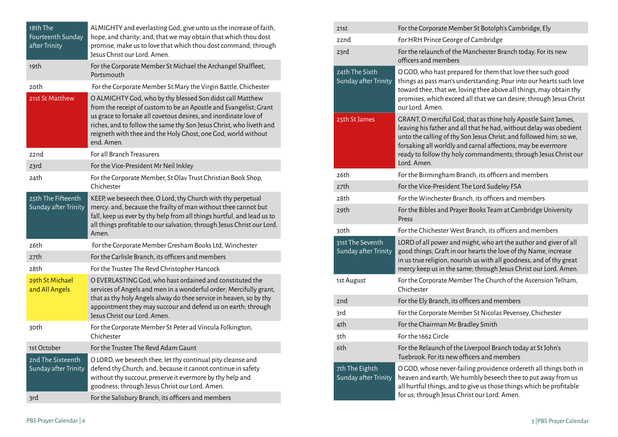| 18th The<br>Fourteenth Sunday<br>after Trinity | ALMIGHTY and everlasting God, give unto us the increase of faith,<br>hope, and charity; and, that we may obtain that which thou dost<br>promise, make us to love that which thou dost command; through<br>Jesus Christ our Lord. Amen.                                                                                                                   |
|------------------------------------------------|----------------------------------------------------------------------------------------------------------------------------------------------------------------------------------------------------------------------------------------------------------------------------------------------------------------------------------------------------------|
| 19th                                           | For the Corporate Member St Michael the Archangel Shalfleet,<br>Portsmouth                                                                                                                                                                                                                                                                               |
| 20th                                           | For the Corporate Member St Mary the Virgin Battle, Chichester                                                                                                                                                                                                                                                                                           |
| 21st St Matthew                                | O ALMIGHTY God, who by thy blessed Son didst call Matthew<br>from the receipt of custom to be an Apostle and Evangelist; Grant<br>us grace to forsake all covetous desires, and inordinate love of<br>riches, and to follow the same thy Son Jesus Christ, who liveth and<br>reigneth with thee and the Holy Ghost, one God, world without<br>end. Amen. |
| 22nd                                           | For all Branch Treasurers                                                                                                                                                                                                                                                                                                                                |
| 23rd                                           | For the Vice-President Mr Neil Inkley                                                                                                                                                                                                                                                                                                                    |
| 24th                                           | For the Corporate Member, St Olav Trust Christian Book Shop,<br>Chichester                                                                                                                                                                                                                                                                               |
| 25th The Fifteenth<br>Sunday after Trinity     | KEEP, we beseech thee, O Lord, thy Church with thy perpetual<br>mercy: and, because the frailty of man without thee cannot but<br>fall, keep us ever by thy help from all things hurtful, and lead us to<br>all things profitable to our salvation; through Jesus Christ our Lord.<br>Amen.                                                              |
| 26th                                           | For the Corporate Member Gresham Books Ltd, Winchester                                                                                                                                                                                                                                                                                                   |
| 27th                                           | For the Carlisle Branch, its officers and members                                                                                                                                                                                                                                                                                                        |
| 28th                                           | For the Trustee The Revd Christopher Hancock                                                                                                                                                                                                                                                                                                             |
| 29th St Michael<br>and All Angels              | O EVERLASTING God, who hast ordained and constituted the<br>services of Angels and men in a wonderful order; Mercifully grant,<br>that as thy holy Angels alway do thee service in heaven, so by thy<br>appointment they may succour and defend us on earth; through<br>Jesus Christ our Lord. Amen.                                                     |
| 30th                                           | For the Corporate Member St Peter ad Vincula Folkington,<br>Chichester                                                                                                                                                                                                                                                                                   |
| 1st October                                    | For the Trustee The Revd Adam Gaunt                                                                                                                                                                                                                                                                                                                      |
| 2nd The Sixteenth<br>Sunday after Trinity      | O LORD, we beseech thee, let thy continual pity cleanse and<br>defend thy Church; and, because it cannot continue in safety<br>without thy succour, preserve it evermore by thy help and<br>goodness; through Jesus Christ our Lord. Amen.                                                                                                               |
| 3rd                                            | For the Salisbury Branch, its officers and members                                                                                                                                                                                                                                                                                                       |

| 21st                                     | For the Corporate Member St Botolph's Cambridge, Ely                                                                                                                                                                                                                                                                                                         |
|------------------------------------------|--------------------------------------------------------------------------------------------------------------------------------------------------------------------------------------------------------------------------------------------------------------------------------------------------------------------------------------------------------------|
| 22nd                                     | For HRH Prince George of Cambridge                                                                                                                                                                                                                                                                                                                           |
| 23rd                                     | For the relaunch of the Manchester Branch today. For its new<br>officers and members                                                                                                                                                                                                                                                                         |
| 24th The Sixth<br>Sunday after Trinity   | O GOD, who hast prepared for them that love thee such good<br>things as pass man's understanding; Pour into our hearts such love<br>toward thee, that we, loving thee above all things, may obtain thy<br>promises, which exceed all that we can desire; through Jesus Christ<br>our Lord. Amen.                                                             |
| 25th St James                            | GRANT, O merciful God, that as thine holy Apostle Saint James,<br>leaving his father and all that he had, without delay was obedient<br>unto the calling of thy Son Jesus Christ, and followed him; so we,<br>forsaking all worldly and carnal affections, may be evermore<br>ready to follow thy holy commandments; through Jesus Christ our<br>Lord. Amen. |
| 26th                                     | For the Birmingham Branch, its officers and members                                                                                                                                                                                                                                                                                                          |
| 27th                                     | For the Vice-President The Lord Sudeley FSA                                                                                                                                                                                                                                                                                                                  |
| 28th                                     | For the Winchester Branch, its officers and members                                                                                                                                                                                                                                                                                                          |
| 29th                                     | For the Bibles and Prayer Books Team at Cambridge University<br>Press                                                                                                                                                                                                                                                                                        |
| 30th                                     | For the Chichester West Branch, its officers and members                                                                                                                                                                                                                                                                                                     |
| 31st The Seventh<br>Sunday after Trinity | LORD of all power and might, who art the author and giver of all<br>good things; Graft in our hearts the love of thy Name, increase<br>in us true religion, nourish us with all goodness, and of thy great<br>mercy keep us in the same; through Jesus Christ our Lord. Amen.                                                                                |
| 1st August                               | For the Corporate Member The Church of the Ascension Telham,<br>Chichester                                                                                                                                                                                                                                                                                   |
| 2nd                                      | For the Ely Branch, its officers and members                                                                                                                                                                                                                                                                                                                 |
| 3rd                                      | For the Corporate Member St Nicolas Pevensey, Chichester                                                                                                                                                                                                                                                                                                     |
| 4th                                      | For the Chairman Mr Bradley Smith                                                                                                                                                                                                                                                                                                                            |
| 5th                                      | For the 1662 Circle                                                                                                                                                                                                                                                                                                                                          |
| 6th                                      | For the Relaunch of the Liverpool Branch today at St John's<br>Tuebrook. For its new officers and members                                                                                                                                                                                                                                                    |
| 7th The Eighth<br>Sunday after Trinity   | O GOD, whose never-failing providence ordereth all things both in<br>heaven and earth; We humbly beseech thee to put away from us<br>all hurtful things, and to give us those things which be profitable<br>for us; through Jesus Christ our Lord. Amen.                                                                                                     |